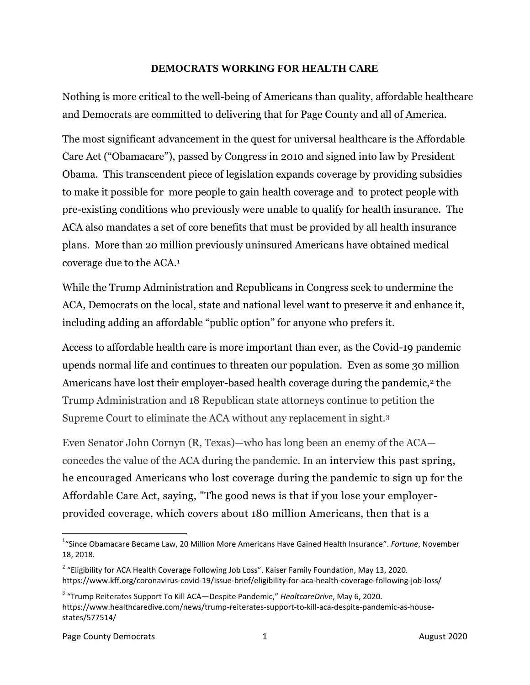## **DEMOCRATS WORKING FOR HEALTH CARE**

Nothing is more critical to the well-being of Americans than quality, affordable healthcare and Democrats are committed to delivering that for Page County and all of America.

The most significant advancement in the quest for universal healthcare is the Affordable Care Act ("Obamacare"), passed by Congress in 2010 and signed into law by President Obama. This transcendent piece of legislation expands coverage by providing subsidies to make it possible for more people to gain health coverage and to protect people with pre-existing conditions who previously were unable to qualify for health insurance. The ACA also mandates a set of core benefits that must be provided by all health insurance plans. More than 20 million previously uninsured Americans have obtained medical coverage due to the ACA.<sup>1</sup>

While the Trump Administration and Republicans in Congress seek to undermine the ACA, Democrats on the local, state and national level want to preserve it and enhance it, including adding an affordable "public option" for anyone who prefers it.

Access to affordable health care is more important than ever, as the Covid-19 pandemic upends normal life and continues to threaten our population. Even as some 30 million Americans have lost their employer-based health coverage during the pandemic,<sup>2</sup> the Trump Administration and 18 Republican state attorneys continue to petition the Supreme Court to eliminate the ACA without any replacement in sight.<sup>3</sup>

Even Senator John Cornyn (R, Texas)—who has long been an enemy of the ACA concedes the value of the ACA during the pandemic. In an interview this past spring, he encouraged Americans who lost coverage during the pandemic to sign up for the Affordable Care Act, saying, "The good news is that if you lose your employerprovided coverage, which covers about 180 million Americans, then that is a

 $\overline{\phantom{a}}$ 

<sup>1</sup> "Since Obamacare Became Law, 20 Million More Americans Have Gained Health Insurance". *Fortune*, November 18, 2018.

<sup>&</sup>lt;sup>2</sup> "Eligibility for ACA Health Coverage Following Job Loss". Kaiser Family Foundation, May 13, 2020. https://www.kff.org/coronavirus-covid-19/issue-brief/eligibility-for-aca-health-coverage-following-job-loss/

<sup>3</sup> "Trump Reiterates Support To Kill ACA—Despite Pandemic," *HealtcareDrive*, May 6, 2020. https://www.healthcaredive.com/news/trump-reiterates-support-to-kill-aca-despite-pandemic-as-housestates/577514/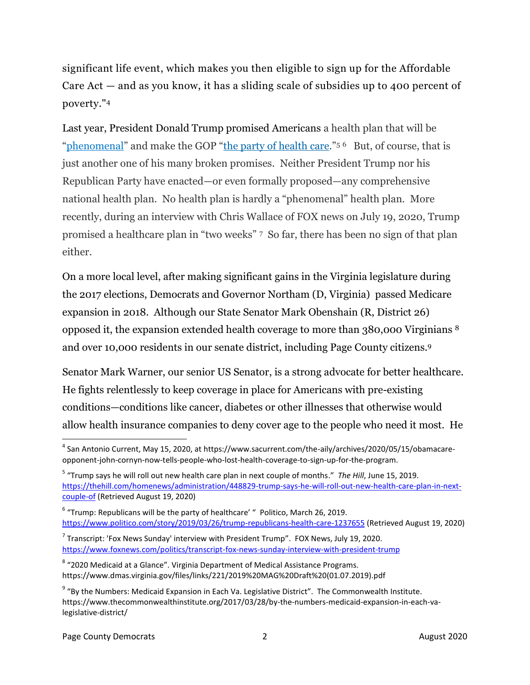significant life event, which makes you then eligible to sign up for the Affordable Care Act — and as you know, it has a sliding scale of subsidies up to 400 percent of poverty." 4

Last year, President Donald Trump promised Americans a health plan that will be "[phenomenal](https://thehill.com/homenews/administration/448829-trump-says-he-will-roll-out-new-health-care-plan-in-next-couple-of)" and make the GOP "[the party of health care](https://www.politico.com/story/2019/03/26/trump-republicans-health-care-1237655)."<sup>56</sup> But, of course, that is just another one of his many broken promises. Neither President Trump nor his Republican Party have enacted—or even formally proposed—any comprehensive national health plan. No health plan is hardly a "phenomenal" health plan. More recently, during an interview with Chris Wallace of FOX news on July 19, 2020, Trump promised a healthcare plan in "two weeks" 7 So far, there has been no sign of that plan either.

On a more local level, after making significant gains in the Virginia legislature during the 2017 elections, Democrats and Governor Northam (D, Virginia) passed Medicare expansion in 2018. Although our State Senator Mark Obenshain (R, District 26) opposed it, the expansion extended health coverage to more than 380,000 Virginians <sup>8</sup> and over 10,000 residents in our senate district, including Page County citizens. 9

Senator Mark Warner, our senior US Senator, is a strong advocate for better healthcare. He fights relentlessly to keep coverage in place for Americans with pre-existing conditions—conditions like cancer, diabetes or other illnesses that otherwise would allow health insurance companies to deny cover age to the people who need it most. He

 $\overline{\phantom{a}}$ 4 San Antonio Current, May 15, 2020, at https://www.sacurrent.com/the-aily/archives/2020/05/15/obamacareopponent-john-cornyn-now-tells-people-who-lost-health-coverage-to-sign-up-for-the-program.

<sup>5</sup> "Trump says he will roll out new health care plan in next couple of months." *The Hill*, June 15, 2019. [https://thehill.com/homenews/administration/448829-trump-says-he-will-roll-out-new-health-care-plan-in-next](https://thehill.com/homenews/administration/448829-trump-says-he-will-roll-out-new-health-care-plan-in-next-couple-of)[couple-of](https://thehill.com/homenews/administration/448829-trump-says-he-will-roll-out-new-health-care-plan-in-next-couple-of) (Retrieved August 19, 2020)

 $6$  "Trump: Republicans will be the party of healthcare'  $"$  Politico, March 26, 2019. <https://www.politico.com/story/2019/03/26/trump-republicans-health-care-1237655> (Retrieved August 19, 2020)

 $^7$  Transcript: 'Fox News Sunday' interview with President Trump". FOX News, July 19, 2020. <https://www.foxnews.com/politics/transcript-fox-news-sunday-interview-with-president-trump>

 $^8$  "2020 Medicaid at a Glance". Virginia Department of Medical Assistance Programs. https://www.dmas.virginia.gov/files/links/221/2019%20MAG%20Draft%20(01.07.2019).pdf

<sup>&</sup>lt;sup>9</sup> "By the Numbers: Medicaid Expansion in Each Va. Legislative District". The Commonwealth Institute. https://www.thecommonwealthinstitute.org/2017/03/28/by-the-numbers-medicaid-expansion-in-each-valegislative-district/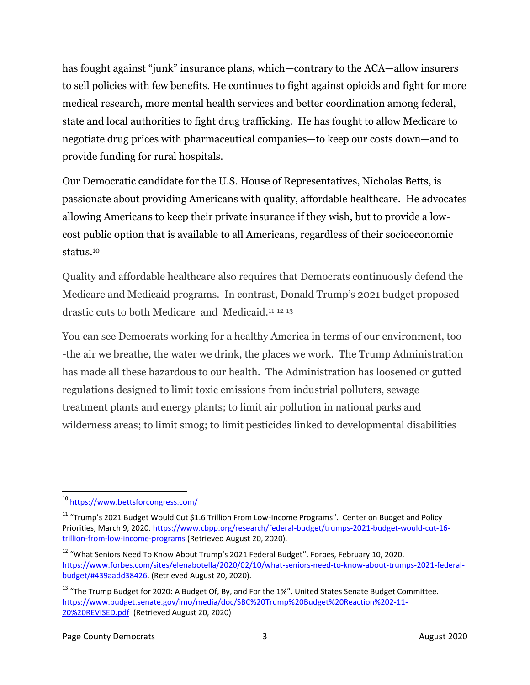has fought against "junk" insurance plans, which—contrary to the ACA—allow insurers to sell policies with few benefits. He continues to fight against opioids and fight for more medical research, more mental health services and better coordination among federal, state and local authorities to fight drug trafficking. He has fought to allow Medicare to negotiate drug prices with pharmaceutical companies—to keep our costs down—and to provide funding for rural hospitals.

Our Democratic candidate for the U.S. House of Representatives, Nicholas Betts, is passionate about providing Americans with quality, affordable healthcare. He advocates allowing Americans to keep their private insurance if they wish, but to provide a lowcost public option that is available to all Americans, regardless of their socioeconomic status.<sup>10</sup>

Quality and affordable healthcare also requires that Democrats continuously defend the Medicare and Medicaid programs. In contrast, Donald Trump's 2021 budget proposed drastic cuts to both Medicare and Medicaid.<sup>11 12 13</sup>

You can see Democrats working for a healthy America in terms of our environment, too- -the air we breathe, the water we drink, the places we work. The Trump Administration has made all these hazardous to our health. The Administration has loosened or gutted regulations designed to limit toxic emissions from industrial polluters, sewage treatment plants and energy plants; to limit air pollution in national parks and wilderness areas; to limit smog; to limit pesticides linked to developmental disabilities

 $\overline{\phantom{a}}$ <sup>10</sup> <https://www.bettsforcongress.com/>

<sup>&</sup>lt;sup>11</sup> "Trump's 2021 Budget Would Cut \$1.6 Trillion From Low-Income Programs". Center on Budget and Policy Priorities, March 9, 2020[. https://www.cbpp.org/research/federal-budget/trumps-2021-budget-would-cut-16](https://www.cbpp.org/research/federal-budget/trumps-2021-budget-would-cut-16-trillion-from-low-income-programs) [trillion-from-low-income-programs](https://www.cbpp.org/research/federal-budget/trumps-2021-budget-would-cut-16-trillion-from-low-income-programs) (Retrieved August 20, 2020).

<sup>&</sup>lt;sup>12</sup> "What Seniors Need To Know About Trump's 2021 Federal Budget". Forbes, February 10, 2020. [https://www.forbes.com/sites/elenabotella/2020/02/10/what-seniors-need-to-know-about-trumps-2021-federal](https://www.forbes.com/sites/elenabotella/2020/02/10/what-seniors-need-to-know-about-trumps-2021-federal-budget/#439aadd38426)[budget/#439aadd38426.](https://www.forbes.com/sites/elenabotella/2020/02/10/what-seniors-need-to-know-about-trumps-2021-federal-budget/#439aadd38426) (Retrieved August 20, 2020).

<sup>&</sup>lt;sup>13</sup> "The Trump Budget for 2020: A Budget Of, By, and For the 1%". United States Senate Budget Committee. [https://www.budget.senate.gov/imo/media/doc/SBC%20Trump%20Budget%20Reaction%202-11-](https://www.budget.senate.gov/imo/media/doc/SBC%20Trump%20Budget%20Reaction%202-11-20%20REVISED.pdf) [20%20REVISED.pdf](https://www.budget.senate.gov/imo/media/doc/SBC%20Trump%20Budget%20Reaction%202-11-20%20REVISED.pdf) (Retrieved August 20, 2020)